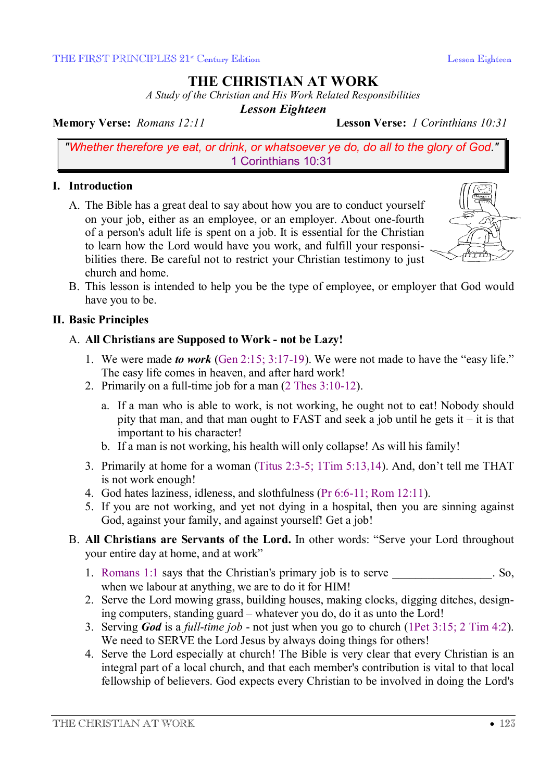# **THE CHRISTIAN AT WORK**

*A Study of the Christian and His Work Related Responsibilities Lesson Eighteen* 

**Memory Verse:** *Romans 12:11* **Lesson Verse:** *1 Corinthians 10:31*

*"Whether therefore ye eat, or drink, or whatsoever ye do, do all to the glory of God."* 1 Corinthians 10:31

## **I. Introduction**

- A. The Bible has a great deal to say about how you are to conduct yourself on your job, either as an employee, or an employer. About one-fourth of a person's adult life is spent on a job. It is essential for the Christian to learn how the Lord would have you work, and fulfill your responsibilities there. Be careful not to restrict your Christian testimony to just church and home.
- B. This lesson is intended to help you be the type of employee, or employer that God would have you to be.

#### **II. Basic Principles**

## A. **All Christians are Supposed to Work - not be Lazy!**

- 1. We were made *to work* (Gen 2:15; 3:17-19). We were not made to have the "easy life." The easy life comes in heaven, and after hard work!
- 2. Primarily on a full-time job for a man (2 Thes 3:10-12).
	- a. If a man who is able to work, is not working, he ought not to eat! Nobody should pity that man, and that man ought to FAST and seek a job until he gets it  $-$  it is that important to his character!
	- b. If a man is not working, his health will only collapse! As will his family!
- 3. Primarily at home for a woman (Titus 2:3-5; 1Tim 5:13,14). And, don't tell me THAT is not work enough!
- 4. God hates laziness, idleness, and slothfulness (Pr 6:6-11; Rom 12:11).
- 5. If you are not working, and yet not dying in a hospital, then you are sinning against God, against your family, and against yourself! Get a job!
- B. **All Christians are Servants of the Lord.** In other words: "Serve your Lord throughout your entire day at home, and at work"
	- 1. Romans 1:1 says that the Christian's primary job is to serve . So, when we labour at anything, we are to do it for HIM!
	- 2. Serve the Lord mowing grass, building houses, making clocks, digging ditches, designing computers, standing guard – whatever you do, do it as unto the Lord!
	- 3. Serving *God* is a *full*-*time job* not just when you go to church (1Pet 3:15; 2 Tim 4:2). We need to SERVE the Lord Jesus by always doing things for others!
	- 4. Serve the Lord especially at church! The Bible is very clear that every Christian is an integral part of a local church, and that each member's contribution is vital to that local fellowship of believers. God expects every Christian to be involved in doing the Lord's

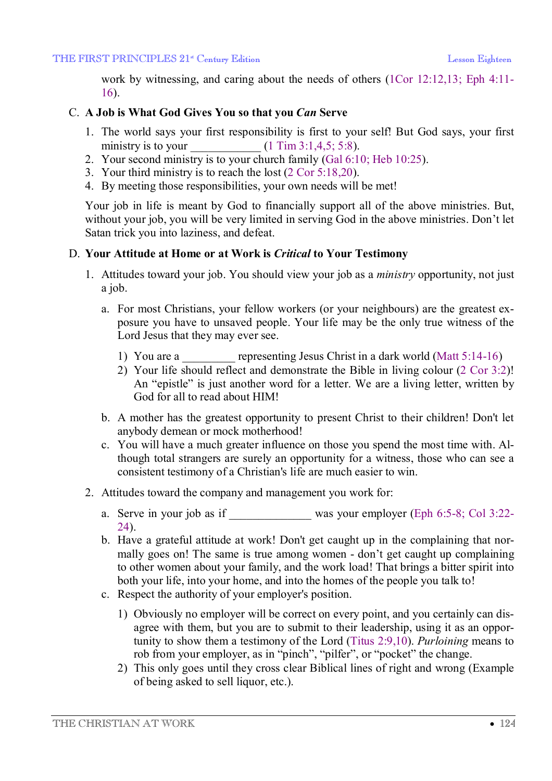work by witnessing, and caring about the needs of others (1Cor 12:12,13; Eph 4:11- 16).

#### C. **A Job is What God Gives You so that you** *Can* **Serve**

- 1. The world says your first responsibility is first to your self! But God says, your first ministry is to your  $(1 \text{ Tim } 3:1,4,5; 5:8)$ .
- 2. Your second ministry is to your church family (Gal 6:10; Heb 10:25).
- 3. Your third ministry is to reach the lost (2 Cor 5:18,20).
- 4. By meeting those responsibilities, your own needs will be met!

Your job in life is meant by God to financially support all of the above ministries. But, without your job, you will be very limited in serving God in the above ministries. Don't let Satan trick you into laziness, and defeat.

#### D. **Your Attitude at Home or at Work is** *Critical* **to Your Testimony**

- 1. Attitudes toward your job. You should view your job as a *ministry* opportunity, not just a job.
	- a. For most Christians, your fellow workers (or your neighbours) are the greatest exposure you have to unsaved people. Your life may be the only true witness of the Lord Jesus that they may ever see.
		- 1) You are a representing Jesus Christ in a dark world (Matt 5:14-16)
		- 2) Your life should reflect and demonstrate the Bible in living colour (2 Cor 3:2)! An "epistle" is just another word for a letter. We are a living letter, written by God for all to read about HIM!
	- b. A mother has the greatest opportunity to present Christ to their children! Don't let anybody demean or mock motherhood!
	- c. You will have a much greater influence on those you spend the most time with. Although total strangers are surely an opportunity for a witness, those who can see a consistent testimony of a Christian's life are much easier to win.
- 2. Attitudes toward the company and management you work for:
	- a. Serve in your job as if was your employer (Eph 6:5-8; Col 3:22-24).
	- b. Have a grateful attitude at work! Don't get caught up in the complaining that normally goes on! The same is true among women - don't get caught up complaining to other women about your family, and the work load! That brings a bitter spirit into both your life, into your home, and into the homes of the people you talk to!
	- c. Respect the authority of your employer's position.
		- 1) Obviously no employer will be correct on every point, and you certainly can disagree with them, but you are to submit to their leadership, using it as an opportunity to show them a testimony of the Lord (Titus 2:9,10). *Purloining* means to rob from your employer, as in "pinch", "pilfer", or "pocket" the change.
		- 2) This only goes until they cross clear Biblical lines of right and wrong (Example of being asked to sell liquor, etc.).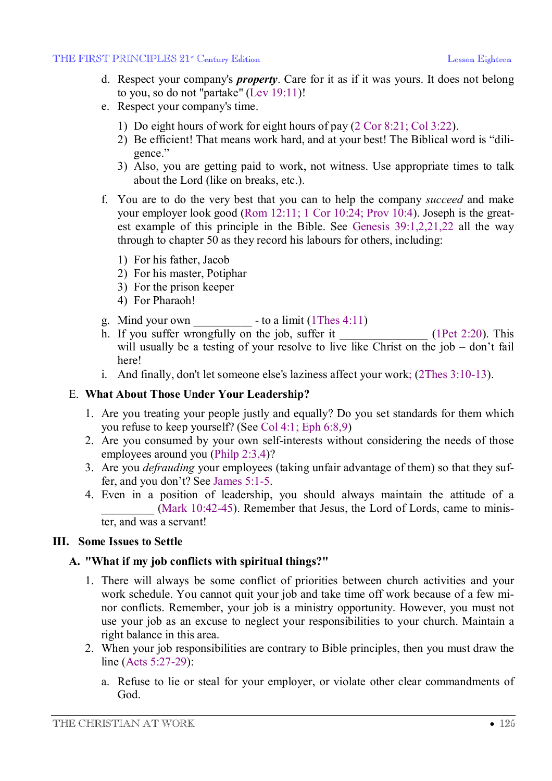- d. Respect your company's *property*. Care for it as if it was yours. It does not belong to you, so do not "partake" (Lev 19:11)!
- e. Respect your company's time.
	- 1) Do eight hours of work for eight hours of pay (2 Cor 8:21; Col 3:22).
	- 2) Be efficient! That means work hard, and at your best! The Biblical word is "diligence."
	- 3) Also, you are getting paid to work, not witness. Use appropriate times to talk about the Lord (like on breaks, etc.).
- f. You are to do the very best that you can to help the company *succeed* and make your employer look good (Rom 12:11; 1 Cor 10:24; Prov 10:4). Joseph is the greatest example of this principle in the Bible. See Genesis 39:1,2,21,22 all the way through to chapter 50 as they record his labours for others, including:
	- 1) For his father, Jacob
	- 2) For his master, Potiphar
	- 3) For the prison keeper
	- 4) For Pharaoh!
- g. Mind your own  $\qquad \qquad$  to a limit (1Thes 4:11)
- h. If you suffer wrongfully on the job, suffer it \_\_\_\_\_\_\_\_\_\_\_\_\_\_\_ (1Pet 2:20). This will usually be a testing of your resolve to live like Christ on the job – don't fail here!
- i. And finally, don't let someone else's laziness affect your work; (2Thes 3:10-13).

## E. **What About Those Under Your Leadership?**

- 1. Are you treating your people justly and equally? Do you set standards for them which you refuse to keep yourself? (See Col 4:1; Eph 6:8,9)
- 2. Are you consumed by your own self-interests without considering the needs of those employees around you (Philp 2:3,4)?
- 3. Are you *defrauding* your employees (taking unfair advantage of them) so that they suffer, and you don't? See James 5:1-5.
- 4. Even in a position of leadership, you should always maintain the attitude of a (Mark 10:42-45). Remember that Jesus, the Lord of Lords, came to minister, and was a servant!

## **III. Some Issues to Settle**

## **A. "What if my job conflicts with spiritual things?"**

- 1. There will always be some conflict of priorities between church activities and your work schedule. You cannot quit your job and take time off work because of a few minor conflicts. Remember, your job is a ministry opportunity. However, you must not use your job as an excuse to neglect your responsibilities to your church. Maintain a right balance in this area.
- 2. When your job responsibilities are contrary to Bible principles, then you must draw the line (Acts 5:27-29):
	- a. Refuse to lie or steal for your employer, or violate other clear commandments of God.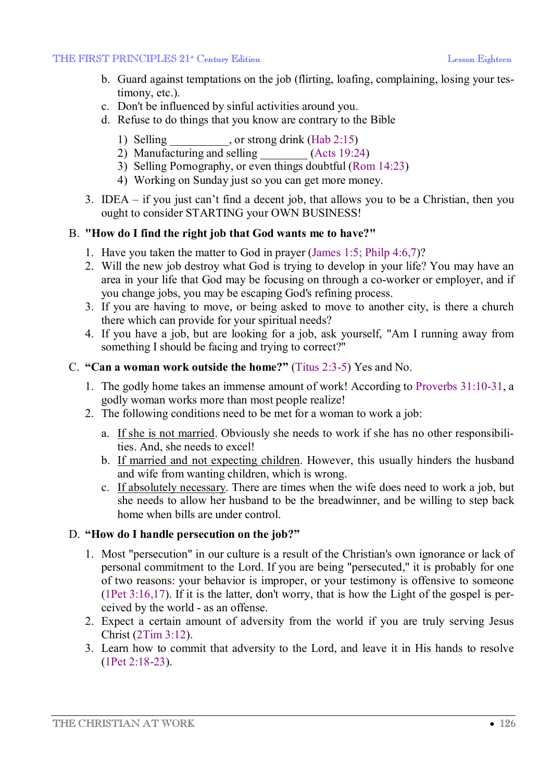#### THE FIRST PRINCIPLES 21<sup>st</sup> Century Edition **Lesson Eighteen** Lesson Eighteen

- b. Guard against temptations on the job (flirting, loafing, complaining, losing your testimony, etc.).
- c. Don't be influenced by sinful activities around you.
- d. Refuse to do things that you know are contrary to the Bible
	- 1) Selling \_\_\_\_\_\_\_, or strong drink (Hab 2:15)
	- 2) Manufacturing and selling  $(Acts 19:24)$
	- 3) Selling Pornography, or even things doubtful (Rom 14:23)
	- 4) Working on Sunday just so you can get more money.
- 3. IDEA if you just can't find a decent job, that allows you to be a Christian, then you ought to consider STARTING your OWN BUSINESS!

# B. **"How do I find the right job that God wants me to have?"**

- 1. Have you taken the matter to God in prayer (James 1:5; Philp 4:6,7)?
- 2. Will the new job destroy what God is trying to develop in your life? You may have an area in your life that God may be focusing on through a co-worker or employer, and if you change jobs, you may be escaping God's refining process.
- 3. If you are having to move, or being asked to move to another city, is there a church there which can provide for your spiritual needs?
- 4. If you have a job, but are looking for a job, ask yourself, "Am I running away from something I should be facing and trying to correct?"
- C. **"Can a woman work outside the home?"** (Titus 2:3-5) Yes and No.
	- 1. The godly home takes an immense amount of work! According to Proverbs 31:10-31, a godly woman works more than most people realize!
	- 2. The following conditions need to be met for a woman to work a job:
		- a. If she is not married. Obviously she needs to work if she has no other responsibilities. And, she needs to excel!
		- b. If married and not expecting children. However, this usually hinders the husband and wife from wanting children, which is wrong.
		- c. If absolutely necessary. There are times when the wife does need to work a job, but she needs to allow her husband to be the breadwinner, and be willing to step back home when bills are under control.

## D. **"How do I handle persecution on the job?"**

- 1. Most "persecution" in our culture is a result of the Christian's own ignorance or lack of personal commitment to the Lord. If you are being "persecuted," it is probably for one of two reasons: your behavior is improper, or your testimony is offensive to someone (1Pet 3:16,17). If it is the latter, don't worry, that is how the Light of the gospel is perceived by the world - as an offense.
- 2. Expect a certain amount of adversity from the world if you are truly serving Jesus Christ (2Tim 3:12).
- 3. Learn how to commit that adversity to the Lord, and leave it in His hands to resolve (1Pet 2:18-23).